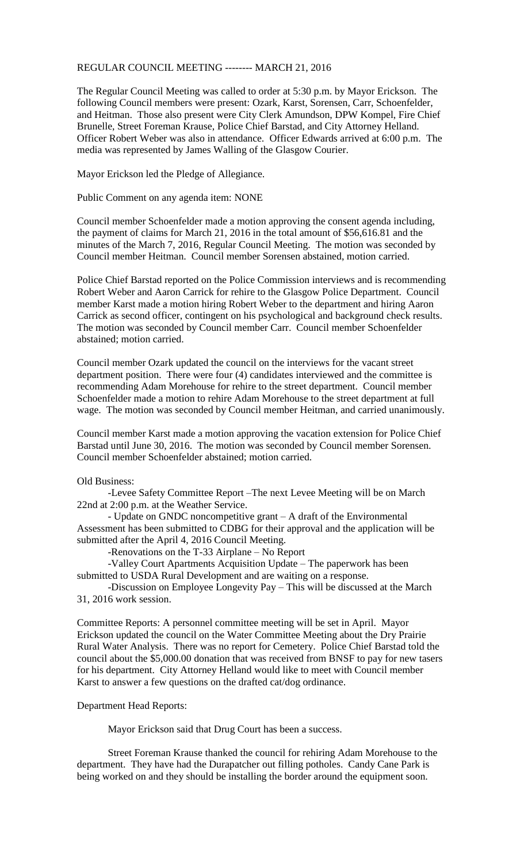## REGULAR COUNCIL MEETING -------- MARCH 21, 2016

The Regular Council Meeting was called to order at 5:30 p.m. by Mayor Erickson. The following Council members were present: Ozark, Karst, Sorensen, Carr, Schoenfelder, and Heitman. Those also present were City Clerk Amundson, DPW Kompel, Fire Chief Brunelle, Street Foreman Krause, Police Chief Barstad, and City Attorney Helland. Officer Robert Weber was also in attendance. Officer Edwards arrived at 6:00 p.m. The media was represented by James Walling of the Glasgow Courier.

Mayor Erickson led the Pledge of Allegiance.

Public Comment on any agenda item: NONE

Council member Schoenfelder made a motion approving the consent agenda including, the payment of claims for March 21, 2016 in the total amount of \$56,616.81 and the minutes of the March 7, 2016, Regular Council Meeting. The motion was seconded by Council member Heitman. Council member Sorensen abstained, motion carried.

Police Chief Barstad reported on the Police Commission interviews and is recommending Robert Weber and Aaron Carrick for rehire to the Glasgow Police Department. Council member Karst made a motion hiring Robert Weber to the department and hiring Aaron Carrick as second officer, contingent on his psychological and background check results. The motion was seconded by Council member Carr. Council member Schoenfelder abstained; motion carried.

Council member Ozark updated the council on the interviews for the vacant street department position. There were four (4) candidates interviewed and the committee is recommending Adam Morehouse for rehire to the street department. Council member Schoenfelder made a motion to rehire Adam Morehouse to the street department at full wage. The motion was seconded by Council member Heitman, and carried unanimously.

Council member Karst made a motion approving the vacation extension for Police Chief Barstad until June 30, 2016. The motion was seconded by Council member Sorensen. Council member Schoenfelder abstained; motion carried.

Old Business:

-Levee Safety Committee Report –The next Levee Meeting will be on March 22nd at 2:00 p.m. at the Weather Service.

- Update on GNDC noncompetitive grant – A draft of the Environmental Assessment has been submitted to CDBG for their approval and the application will be submitted after the April 4, 2016 Council Meeting.

-Renovations on the T-33 Airplane – No Report

-Valley Court Apartments Acquisition Update – The paperwork has been submitted to USDA Rural Development and are waiting on a response.

-Discussion on Employee Longevity Pay – This will be discussed at the March 31, 2016 work session.

Committee Reports: A personnel committee meeting will be set in April. Mayor Erickson updated the council on the Water Committee Meeting about the Dry Prairie Rural Water Analysis. There was no report for Cemetery. Police Chief Barstad told the council about the \$5,000.00 donation that was received from BNSF to pay for new tasers for his department. City Attorney Helland would like to meet with Council member Karst to answer a few questions on the drafted cat/dog ordinance.

## Department Head Reports:

Mayor Erickson said that Drug Court has been a success.

Street Foreman Krause thanked the council for rehiring Adam Morehouse to the department. They have had the Durapatcher out filling potholes. Candy Cane Park is being worked on and they should be installing the border around the equipment soon.